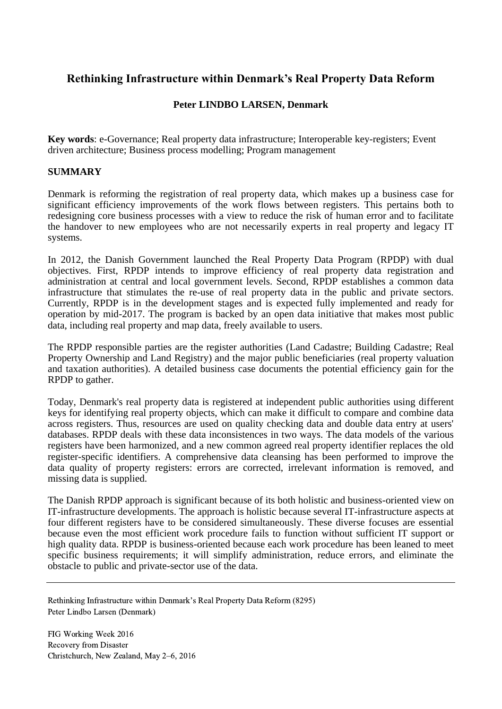# **Rethinking Infrastructure within Denmark's Real Property Data Reform**

## **Peter LINDBO LARSEN, Denmark**

**Key words**: e-Governance; Real property data infrastructure; Interoperable key-registers; Event driven architecture; Business process modelling; Program management

## **SUMMARY**

Denmark is reforming the registration of real property data, which makes up a business case for significant efficiency improvements of the work flows between registers. This pertains both to redesigning core business processes with a view to reduce the risk of human error and to facilitate the handover to new employees who are not necessarily experts in real property and legacy IT systems.

In 2012, the Danish Government launched the Real Property Data Program (RPDP) with dual objectives. First, RPDP intends to improve efficiency of real property data registration and administration at central and local government levels. Second, RPDP establishes a common data infrastructure that stimulates the re-use of real property data in the public and private sectors. Currently, RPDP is in the development stages and is expected fully implemented and ready for operation by mid-2017. The program is backed by an open data initiative that makes most public data, including real property and map data, freely available to users.

The RPDP responsible parties are the register authorities (Land Cadastre; Building Cadastre; Real Property Ownership and Land Registry) and the major public beneficiaries (real property valuation and taxation authorities). A detailed business case documents the potential efficiency gain for the RPDP to gather.

Today, Denmark's real property data is registered at independent public authorities using different keys for identifying real property objects, which can make it difficult to compare and combine data across registers. Thus, resources are used on quality checking data and double data entry at users' databases. RPDP deals with these data inconsistences in two ways. The data models of the various registers have been harmonized, and a new common agreed real property identifier replaces the old register-specific identifiers. A comprehensive data cleansing has been performed to improve the data quality of property registers: errors are corrected, irrelevant information is removed, and missing data is supplied.

The Danish RPDP approach is significant because of its both holistic and business-oriented view on IT-infrastructure developments. The approach is holistic because several IT-infrastructure aspects at four different registers have to be considered simultaneously. These diverse focuses are essential because even the most efficient work procedure fails to function without sufficient IT support or high quality data. RPDP is business-oriented because each work procedure has been leaned to meet specific business requirements; it will simplify administration, reduce errors, and eliminate the obstacle to public and private-sector use of the data.

Rethinking Infrastructure within Denmark's Real Property Data Reform (8295) Peter Lindbo Larsen (Denmark)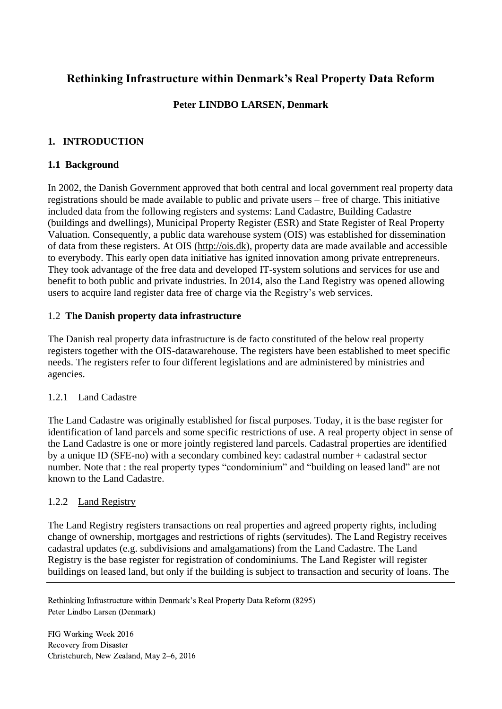# **Rethinking Infrastructure within Denmark's Real Property Data Reform**

# **Peter LINDBO LARSEN, Denmark**

# **1. INTRODUCTION**

# **1.1 Background**

In 2002, the Danish Government approved that both central and local government real property data registrations should be made available to public and private users – free of charge. This initiative included data from the following registers and systems: Land Cadastre, Building Cadastre (buildings and dwellings), Municipal Property Register (ESR) and State Register of Real Property Valuation. Consequently, a public data warehouse system (OIS) was established for dissemination of data from these registers. At OIS [\(http://ois.dk\)](http://ois.dk/), property data are made available and accessible to everybody. This early open data initiative has ignited innovation among private entrepreneurs. They took advantage of the free data and developed IT-system solutions and services for use and benefit to both public and private industries. In 2014, also the Land Registry was opened allowing users to acquire land register data free of charge via the Registry's web services.

# 1.2 **The Danish property data infrastructure**

The Danish real property data infrastructure is de facto constituted of the below real property registers together with the OIS-datawarehouse. The registers have been established to meet specific needs. The registers refer to four different legislations and are administered by ministries and agencies.

# 1.2.1 Land Cadastre

The Land Cadastre was originally established for fiscal purposes. Today, it is the base register for identification of land parcels and some specific restrictions of use. A real property object in sense of the Land Cadastre is one or more jointly registered land parcels. Cadastral properties are identified by a unique ID (SFE-no) with a secondary combined key: cadastral number + cadastral sector number. Note that : the real property types "condominium" and "building on leased land" are not known to the Land Cadastre.

# 1.2.2 Land Registry

The Land Registry registers transactions on real properties and agreed property rights, including change of ownership, mortgages and restrictions of rights (servitudes). The Land Registry receives cadastral updates (e.g. subdivisions and amalgamations) from the Land Cadastre. The Land Registry is the base register for registration of condominiums. The Land Register will register buildings on leased land, but only if the building is subject to transaction and security of loans. The

Rethinking Infrastructure within Denmark's Real Property Data Reform (8295) Peter Lindbo Larsen (Denmark)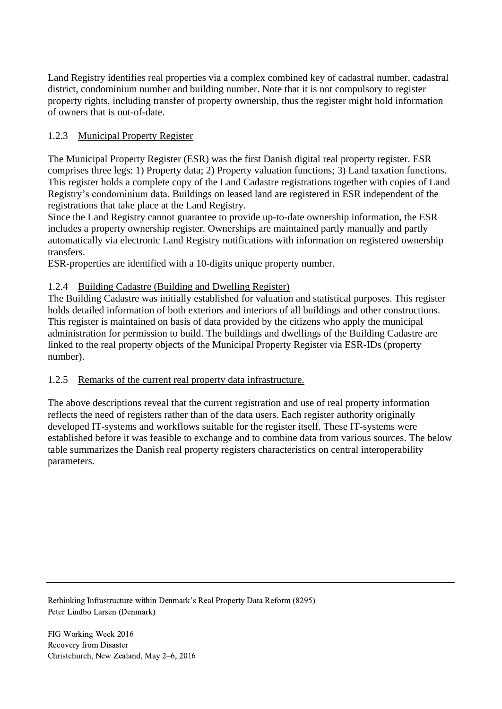Land Registry identifies real properties via a complex combined key of cadastral number, cadastral district, condominium number and building number. Note that it is not compulsory to register property rights, including transfer of property ownership, thus the register might hold information of owners that is out-of-date.

# 1.2.3 Municipal Property Register

The Municipal Property Register (ESR) was the first Danish digital real property register. ESR comprises three legs: 1) Property data; 2) Property valuation functions; 3) Land taxation functions. This register holds a complete copy of the Land Cadastre registrations together with copies of Land Registry's condominium data. Buildings on leased land are registered in ESR independent of the registrations that take place at the Land Registry.

Since the Land Registry cannot guarantee to provide up-to-date ownership information, the ESR includes a property ownership register. Ownerships are maintained partly manually and partly automatically via electronic Land Registry notifications with information on registered ownership transfers.

ESR-properties are identified with a 10-digits unique property number.

# 1.2.4 Building Cadastre (Building and Dwelling Register)

The Building Cadastre was initially established for valuation and statistical purposes. This register holds detailed information of both exteriors and interiors of all buildings and other constructions. This register is maintained on basis of data provided by the citizens who apply the municipal administration for permission to build. The buildings and dwellings of the Building Cadastre are linked to the real property objects of the Municipal Property Register via ESR-IDs (property number).

# 1.2.5 Remarks of the current real property data infrastructure.

<span id="page-2-0"></span>The above descriptions reveal that the current registration and use of real property information reflects the need of registers rather than of the data users. Each register authority originally developed IT-systems and workflows suitable for the register itself. These IT-systems were established before it was feasible to exchange and to combine data from various sources. The below table summarizes the Danish real property registers characteristics on central interoperability parameters.

Rethinking Infrastructure within Denmark's Real Property Data Reform (8295) Peter Lindbo Larsen (Denmark)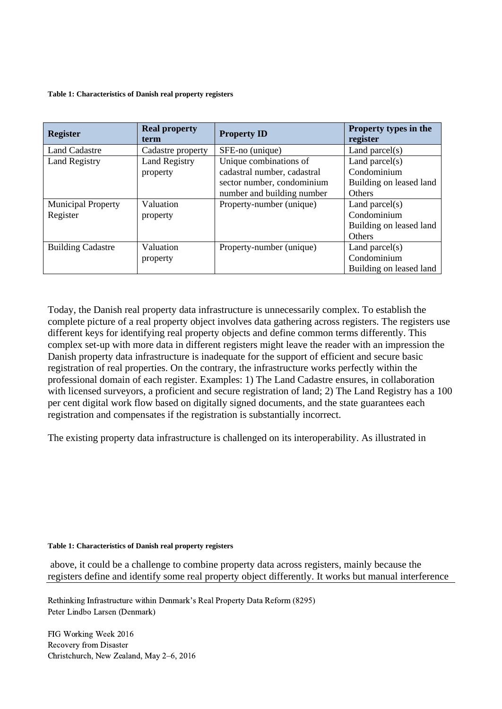#### **Table 1: Characteristics of Danish real property registers**

| <b>Register</b>           | <b>Real property</b><br>term | <b>Property ID</b>          | Property types in the<br>register |
|---------------------------|------------------------------|-----------------------------|-----------------------------------|
| <b>Land Cadastre</b>      | Cadastre property            | SFE-no (unique)             | Land parcel $(s)$                 |
| <b>Land Registry</b>      | <b>Land Registry</b>         | Unique combinations of      | Land parcel $(s)$                 |
|                           | property                     | cadastral number, cadastral | Condominium                       |
|                           |                              | sector number, condominium  | Building on leased land           |
|                           |                              | number and building number  | <b>Others</b>                     |
| <b>Municipal Property</b> | Valuation                    | Property-number (unique)    | Land parcel $(s)$                 |
| Register                  | property                     |                             | Condominium                       |
|                           |                              |                             | Building on leased land           |
|                           |                              |                             | Others                            |
| <b>Building Cadastre</b>  | Valuation                    | Property-number (unique)    | Land parcel $(s)$                 |
|                           | property                     |                             | Condominium                       |
|                           |                              |                             | Building on leased land           |

Today, the Danish real property data infrastructure is unnecessarily complex. To establish the complete picture of a real property object involves data gathering across registers. The registers use different keys for identifying real property objects and define common terms differently. This complex set-up with more data in different registers might leave the reader with an impression the Danish property data infrastructure is inadequate for the support of efficient and secure basic registration of real properties. On the contrary, the infrastructure works perfectly within the professional domain of each register. Examples: 1) The Land Cadastre ensures, in collaboration with licensed surveyors, a proficient and secure registration of land; 2) The Land Registry has a 100 per cent digital work flow based on digitally signed documents, and the state guarantees each registration and compensates if the registration is substantially incorrect.

The existing property data infrastructure is challenged on its interoperability. As illustrated in

#### **[Table 1: Characteristics of Danish real property registers](#page-2-0)**

above, it could be a challenge to combine property data across registers, mainly because the registers define and identify some real property object differently. It works but manual interference

Rethinking Infrastructure within Denmark's Real Property Data Reform (8295) Peter Lindbo Larsen (Denmark)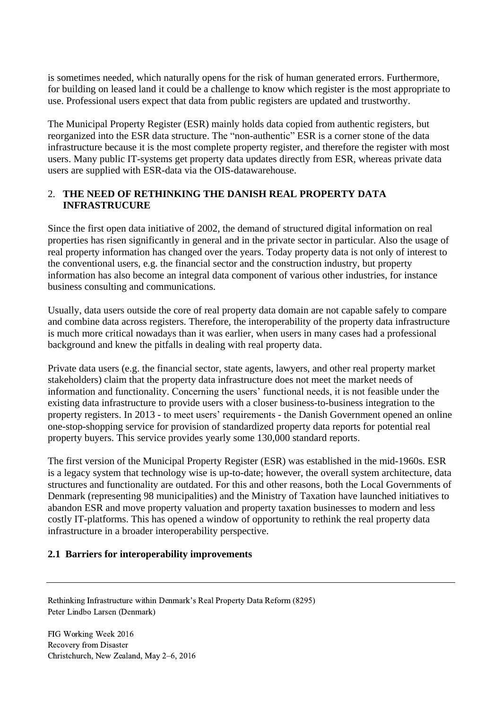is sometimes needed, which naturally opens for the risk of human generated errors. Furthermore, for building on leased land it could be a challenge to know which register is the most appropriate to use. Professional users expect that data from public registers are updated and trustworthy.

The Municipal Property Register (ESR) mainly holds data copied from authentic registers, but reorganized into the ESR data structure. The "non-authentic" ESR is a corner stone of the data infrastructure because it is the most complete property register, and therefore the register with most users. Many public IT-systems get property data updates directly from ESR, whereas private data users are supplied with ESR-data via the OIS-datawarehouse.

# 2. **THE NEED OF RETHINKING THE DANISH REAL PROPERTY DATA INFRASTRUCURE**

Since the first open data initiative of 2002, the demand of structured digital information on real properties has risen significantly in general and in the private sector in particular. Also the usage of real property information has changed over the years. Today property data is not only of interest to the conventional users, e.g. the financial sector and the construction industry, but property information has also become an integral data component of various other industries, for instance business consulting and communications.

Usually, data users outside the core of real property data domain are not capable safely to compare and combine data across registers. Therefore, the interoperability of the property data infrastructure is much more critical nowadays than it was earlier, when users in many cases had a professional background and knew the pitfalls in dealing with real property data.

Private data users (e.g. the financial sector, state agents, lawyers, and other real property market stakeholders) claim that the property data infrastructure does not meet the market needs of information and functionality. Concerning the users' functional needs, it is not feasible under the existing data infrastructure to provide users with a closer business-to-business integration to the property registers. In 2013 - to meet users' requirements - the Danish Government opened an online one-stop-shopping service for provision of standardized property data reports for potential real property buyers. This service provides yearly some 130,000 standard reports.

The first version of the Municipal Property Register (ESR) was established in the mid-1960s. ESR is a legacy system that technology wise is up-to-date; however, the overall system architecture, data structures and functionality are outdated. For this and other reasons, both the Local Governments of Denmark (representing 98 municipalities) and the Ministry of Taxation have launched initiatives to abandon ESR and move property valuation and property taxation businesses to modern and less costly IT-platforms. This has opened a window of opportunity to rethink the real property data infrastructure in a broader interoperability perspective.

# **2.1 Barriers for interoperability improvements**

Rethinking Infrastructure within Denmark's Real Property Data Reform (8295) Peter Lindbo Larsen (Denmark)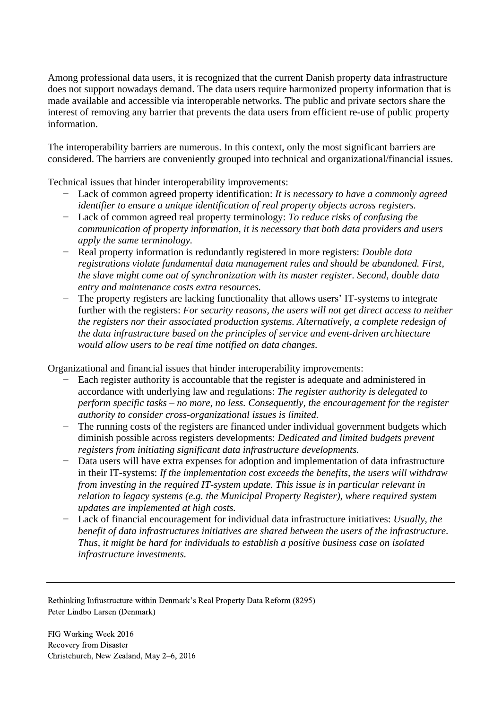Among professional data users, it is recognized that the current Danish property data infrastructure does not support nowadays demand. The data users require harmonized property information that is made available and accessible via interoperable networks. The public and private sectors share the interest of removing any barrier that prevents the data users from efficient re-use of public property information.

The interoperability barriers are numerous. In this context, only the most significant barriers are considered. The barriers are conveniently grouped into technical and organizational/financial issues.

Technical issues that hinder interoperability improvements:

- − Lack of common agreed property identification: *It is necessary to have a commonly agreed identifier to ensure a unique identification of real property objects across registers.*
- − Lack of common agreed real property terminology: *To reduce risks of confusing the communication of property information, it is necessary that both data providers and users apply the same terminology.*
- − Real property information is redundantly registered in more registers: *Double data registrations violate fundamental data management rules and should be abandoned. First, the slave might come out of synchronization with its master register. Second, double data entry and maintenance costs extra resources.*
- − The property registers are lacking functionality that allows users' IT-systems to integrate further with the registers: *For security reasons, the users will not get direct access to neither the registers nor their associated production systems. Alternatively, a complete redesign of the data infrastructure based on the principles of service and event-driven architecture would allow users to be real time notified on data changes.*

Organizational and financial issues that hinder interoperability improvements:

- Each register authority is accountable that the register is adequate and administered in accordance with underlying law and regulations: *The register authority is delegated to perform specific tasks – no more, no less. Consequently, the encouragement for the register authority to consider cross-organizational issues is limited.*
- − The running costs of the registers are financed under individual government budgets which diminish possible across registers developments: *Dedicated and limited budgets prevent registers from initiating significant data infrastructure developments.*
- − Data users will have extra expenses for adoption and implementation of data infrastructure in their IT-systems: *If the implementation cost exceeds the benefits, the users will withdraw from investing in the required IT-system update. This issue is in particular relevant in relation to legacy systems (e.g. the Municipal Property Register), where required system updates are implemented at high costs.*
- − Lack of financial encouragement for individual data infrastructure initiatives: *Usually, the benefit of data infrastructures initiatives are shared between the users of the infrastructure. Thus, it might be hard for individuals to establish a positive business case on isolated infrastructure investments.*

Rethinking Infrastructure within Denmark's Real Property Data Reform (8295) Peter Lindbo Larsen (Denmark)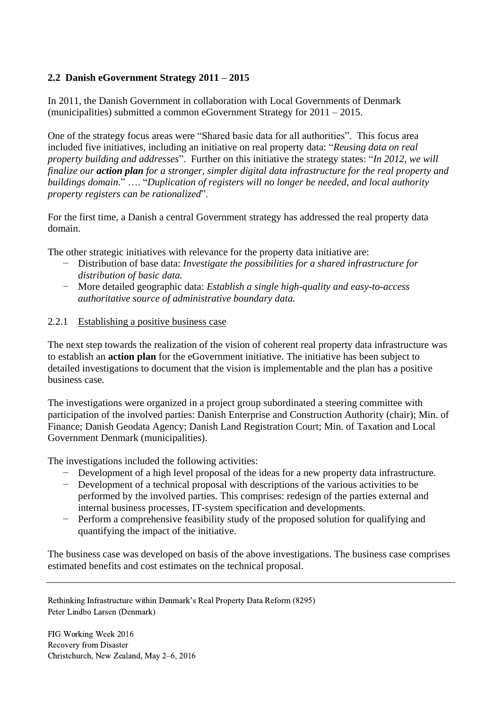# **2.2 Danish eGovernment Strategy 2011 – 2015**

In 2011, the Danish Government in collaboration with Local Governments of Denmark (municipalities) submitted a common eGovernment Strategy for 2011 – 2015.

One of the strategy focus areas were "Shared basic data for all authorities". This focus area included five initiatives, including an initiative on real property data: "*Reusing data on real property building and addresses*". Further on this initiative the strategy states: "*In 2012, we will finalize our action plan for a stronger, simpler digital data infrastructure for the real property and buildings domain.*" …. "*Duplication of registers will no longer be needed, and local authority property registers can be rationalized*".

For the first time, a Danish a central Government strategy has addressed the real property data domain.

The other strategic initiatives with relevance for the property data initiative are:

- − Distribution of base data: *Investigate the possibilities for a shared infrastructure for distribution of basic data.*
- − More detailed geographic data: *Establish a single high-quality and easy-to-access authoritative source of administrative boundary data.*

## 2.2.1 Establishing a positive business case

The next step towards the realization of the vision of coherent real property data infrastructure was to establish an **action plan** for the eGovernment initiative. The initiative has been subject to detailed investigations to document that the vision is implementable and the plan has a positive business case.

The investigations were organized in a project group subordinated a steering committee with participation of the involved parties: Danish Enterprise and Construction Authority (chair); Min. of Finance; Danish Geodata Agency; Danish Land Registration Court; Min. of Taxation and Local Government Denmark (municipalities).

The investigations included the following activities:

- − Development of a high level proposal of the ideas for a new property data infrastructure.
- − Development of a technical proposal with descriptions of the various activities to be performed by the involved parties. This comprises: redesign of the parties external and internal business processes, IT-system specification and developments.
- − Perform a comprehensive feasibility study of the proposed solution for qualifying and quantifying the impact of the initiative.

The business case was developed on basis of the above investigations. The business case comprises estimated benefits and cost estimates on the technical proposal.

Rethinking Infrastructure within Denmark's Real Property Data Reform (8295) Peter Lindbo Larsen (Denmark)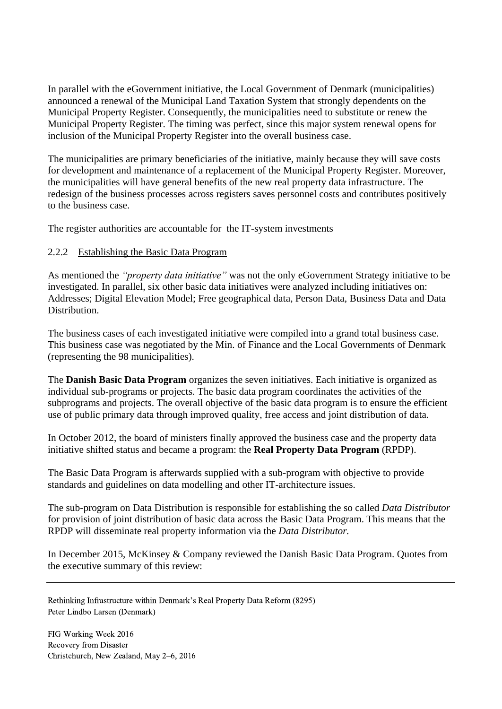In parallel with the eGovernment initiative, the Local Government of Denmark (municipalities) announced a renewal of the Municipal Land Taxation System that strongly dependents on the Municipal Property Register. Consequently, the municipalities need to substitute or renew the Municipal Property Register. The timing was perfect, since this major system renewal opens for inclusion of the Municipal Property Register into the overall business case.

The municipalities are primary beneficiaries of the initiative, mainly because they will save costs for development and maintenance of a replacement of the Municipal Property Register. Moreover, the municipalities will have general benefits of the new real property data infrastructure. The redesign of the business processes across registers saves personnel costs and contributes positively to the business case.

The register authorities are accountable for the IT-system investments

## 2.2.2 Establishing the Basic Data Program

As mentioned the *"property data initiative"* was not the only eGovernment Strategy initiative to be investigated. In parallel, six other basic data initiatives were analyzed including initiatives on: Addresses; Digital Elevation Model; Free geographical data, Person Data, Business Data and Data Distribution.

The business cases of each investigated initiative were compiled into a grand total business case. This business case was negotiated by the Min. of Finance and the Local Governments of Denmark (representing the 98 municipalities).

The **Danish Basic Data Program** organizes the seven initiatives. Each initiative is organized as individual sub-programs or projects. The basic data program coordinates the activities of the subprograms and projects. The overall objective of the basic data program is to ensure the efficient use of public primary data through improved quality, free access and joint distribution of data.

In October 2012, the board of ministers finally approved the business case and the property data initiative shifted status and became a program: the **Real Property Data Program** (RPDP).

The Basic Data Program is afterwards supplied with a sub-program with objective to provide standards and guidelines on data modelling and other IT-architecture issues.

The sub-program on Data Distribution is responsible for establishing the so called *Data Distributor* for provision of joint distribution of basic data across the Basic Data Program. This means that the RPDP will disseminate real property information via the *Data Distributor.*

In December 2015, McKinsey & Company reviewed the Danish Basic Data Program. Quotes from the executive summary of this review:

Rethinking Infrastructure within Denmark's Real Property Data Reform (8295) Peter Lindbo Larsen (Denmark)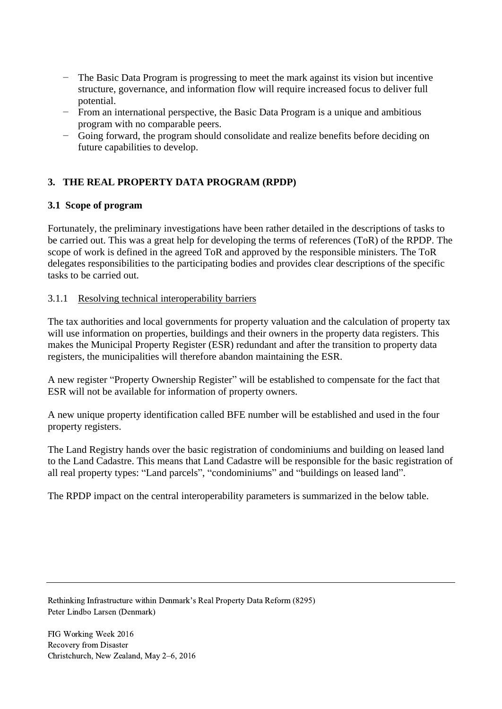- The Basic Data Program is progressing to meet the mark against its vision but incentive structure, governance, and information flow will require increased focus to deliver full potential.
- − From an international perspective, the Basic Data Program is a unique and ambitious program with no comparable peers.
- − Going forward, the program should consolidate and realize benefits before deciding on future capabilities to develop.

# **3. THE REAL PROPERTY DATA PROGRAM (RPDP)**

# **3.1 Scope of program**

Fortunately, the preliminary investigations have been rather detailed in the descriptions of tasks to be carried out. This was a great help for developing the terms of references (ToR) of the RPDP. The scope of work is defined in the agreed ToR and approved by the responsible ministers. The ToR delegates responsibilities to the participating bodies and provides clear descriptions of the specific tasks to be carried out.

# 3.1.1 Resolving technical interoperability barriers

The tax authorities and local governments for property valuation and the calculation of property tax will use information on properties, buildings and their owners in the property data registers. This makes the Municipal Property Register (ESR) redundant and after the transition to property data registers, the municipalities will therefore abandon maintaining the ESR.

A new register "Property Ownership Register" will be established to compensate for the fact that ESR will not be available for information of property owners.

A new unique property identification called BFE number will be established and used in the four property registers.

The Land Registry hands over the basic registration of condominiums and building on leased land to the Land Cadastre. This means that Land Cadastre will be responsible for the basic registration of all real property types: "Land parcels", "condominiums" and "buildings on leased land".

The RPDP impact on the central interoperability parameters is summarized in the below table.

Rethinking Infrastructure within Denmark's Real Property Data Reform (8295) Peter Lindbo Larsen (Denmark)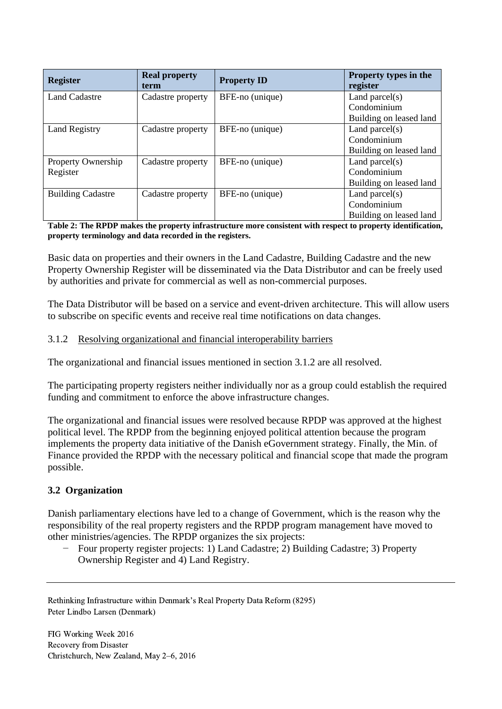| <b>Register</b>          | <b>Real property</b><br>term | <b>Property ID</b> | Property types in the<br>register |
|--------------------------|------------------------------|--------------------|-----------------------------------|
| <b>Land Cadastre</b>     | Cadastre property            | BFE-no (unique)    | Land parcel $(s)$                 |
|                          |                              |                    | Condominium                       |
|                          |                              |                    | Building on leased land           |
| <b>Land Registry</b>     | Cadastre property            | BFE-no (unique)    | Land parcel $(s)$                 |
|                          |                              |                    | Condominium                       |
|                          |                              |                    | Building on leased land           |
| Property Ownership       | Cadastre property            | BFE-no (unique)    | Land parcel $(s)$                 |
| Register                 |                              |                    | Condominium                       |
|                          |                              |                    | Building on leased land           |
| <b>Building Cadastre</b> | Cadastre property            | BFE-no (unique)    | Land parcel $(s)$                 |
|                          |                              |                    | Condominium                       |
|                          |                              |                    | Building on leased land           |

#### **Table 2: The RPDP makes the property infrastructure more consistent with respect to property identification, property terminology and data recorded in the registers.**

Basic data on properties and their owners in the Land Cadastre, Building Cadastre and the new Property Ownership Register will be disseminated via the Data Distributor and can be freely used by authorities and private for commercial as well as non-commercial purposes.

The Data Distributor will be based on a service and event-driven architecture. This will allow users to subscribe on specific events and receive real time notifications on data changes.

# 3.1.2 Resolving organizational and financial interoperability barriers

The organizational and financial issues mentioned in section 3.1.2 are all resolved.

The participating property registers neither individually nor as a group could establish the required funding and commitment to enforce the above infrastructure changes.

The organizational and financial issues were resolved because RPDP was approved at the highest political level. The RPDP from the beginning enjoyed political attention because the program implements the property data initiative of the Danish eGovernment strategy. Finally, the Min. of Finance provided the RPDP with the necessary political and financial scope that made the program possible.

# **3.2 Organization**

Danish parliamentary elections have led to a change of Government, which is the reason why the responsibility of the real property registers and the RPDP program management have moved to other ministries/agencies. The RPDP organizes the six projects:

− Four property register projects: 1) Land Cadastre; 2) Building Cadastre; 3) Property Ownership Register and 4) Land Registry.

Rethinking Infrastructure within Denmark's Real Property Data Reform (8295) Peter Lindbo Larsen (Denmark)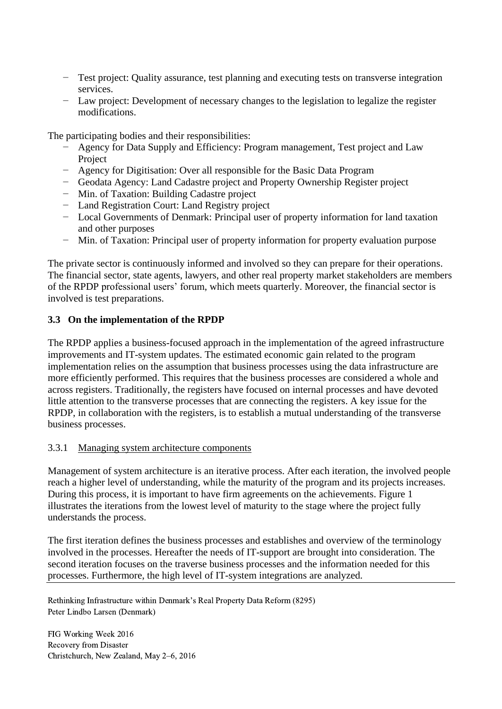- − Test project: Quality assurance, test planning and executing tests on transverse integration services.
- − Law project: Development of necessary changes to the legislation to legalize the register modifications.

The participating bodies and their responsibilities:

- − Agency for Data Supply and Efficiency: Program management, Test project and Law Project
- − Agency for Digitisation: Over all responsible for the Basic Data Program
- − Geodata Agency: Land Cadastre project and Property Ownership Register project
- − Min. of Taxation: Building Cadastre project
- − Land Registration Court: Land Registry project
- − Local Governments of Denmark: Principal user of property information for land taxation and other purposes
- − Min. of Taxation: Principal user of property information for property evaluation purpose

The private sector is continuously informed and involved so they can prepare for their operations. The financial sector, state agents, lawyers, and other real property market stakeholders are members of the RPDP professional users' forum, which meets quarterly. Moreover, the financial sector is involved is test preparations.

## **3.3 On the implementation of the RPDP**

The RPDP applies a business-focused approach in the implementation of the agreed infrastructure improvements and IT-system updates. The estimated economic gain related to the program implementation relies on the assumption that business processes using the data infrastructure are more efficiently performed. This requires that the business processes are considered a whole and across registers. Traditionally, the registers have focused on internal processes and have devoted little attention to the transverse processes that are connecting the registers. A key issue for the RPDP, in collaboration with the registers, is to establish a mutual understanding of the transverse business processes.

## 3.3.1 Managing system architecture components

Management of system architecture is an iterative process. After each iteration, the involved people reach a higher level of understanding, while the maturity of the program and its projects increases. During this process, it is important to have firm agreements on the achievements. Figure 1 illustrates the iterations from the lowest level of maturity to the stage where the project fully understands the process.

The first iteration defines the business processes and establishes and overview of the terminology involved in the processes. Hereafter the needs of IT-support are brought into consideration. The second iteration focuses on the traverse business processes and the information needed for this processes. Furthermore, the high level of IT-system integrations are analyzed.

Rethinking Infrastructure within Denmark's Real Property Data Reform (8295) Peter Lindbo Larsen (Denmark)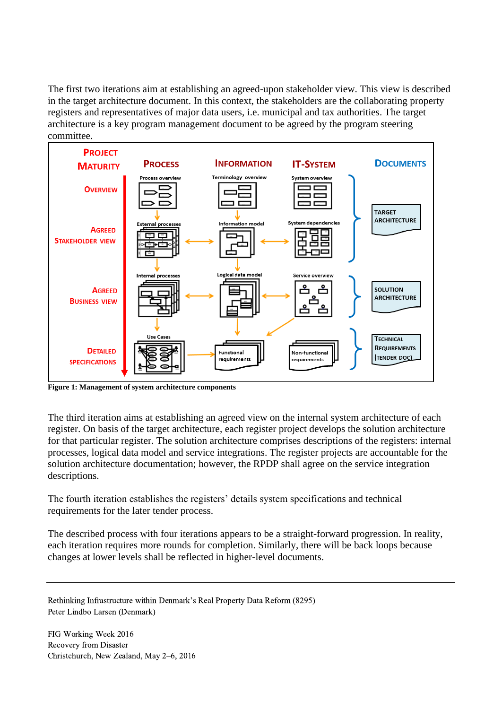The first two iterations aim at establishing an agreed-upon stakeholder view. This view is described in the target architecture document. In this context, the stakeholders are the collaborating property registers and representatives of major data users, i.e. municipal and tax authorities. The target architecture is a key program management document to be agreed by the program steering committee.



**Figure 1: Management of system architecture components**

The third iteration aims at establishing an agreed view on the internal system architecture of each register. On basis of the target architecture, each register project develops the solution architecture for that particular register. The solution architecture comprises descriptions of the registers: internal processes, logical data model and service integrations. The register projects are accountable for the solution architecture documentation; however, the RPDP shall agree on the service integration descriptions.

The fourth iteration establishes the registers' details system specifications and technical requirements for the later tender process.

The described process with four iterations appears to be a straight-forward progression. In reality, each iteration requires more rounds for completion. Similarly, there will be back loops because changes at lower levels shall be reflected in higher-level documents.

Rethinking Infrastructure within Denmark's Real Property Data Reform (8295) Peter Lindbo Larsen (Denmark)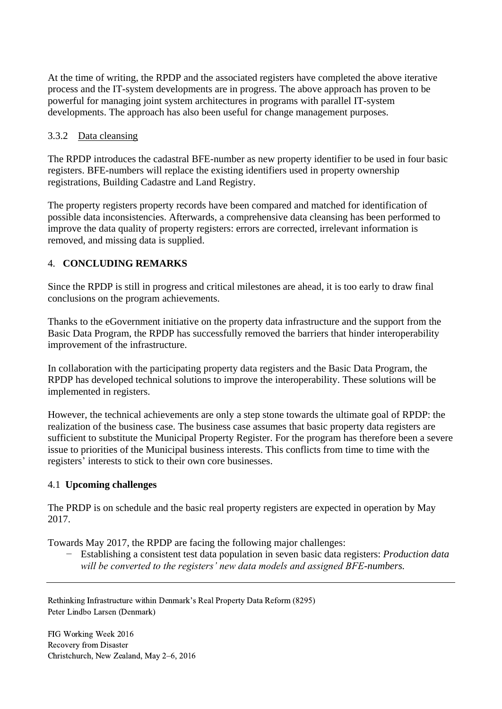At the time of writing, the RPDP and the associated registers have completed the above iterative process and the IT-system developments are in progress. The above approach has proven to be powerful for managing joint system architectures in programs with parallel IT-system developments. The approach has also been useful for change management purposes.

# 3.3.2 Data cleansing

The RPDP introduces the cadastral BFE-number as new property identifier to be used in four basic registers. BFE-numbers will replace the existing identifiers used in property ownership registrations, Building Cadastre and Land Registry.

The property registers property records have been compared and matched for identification of possible data inconsistencies. Afterwards, a comprehensive data cleansing has been performed to improve the data quality of property registers: errors are corrected, irrelevant information is removed, and missing data is supplied.

# 4. **CONCLUDING REMARKS**

Since the RPDP is still in progress and critical milestones are ahead, it is too early to draw final conclusions on the program achievements.

Thanks to the eGovernment initiative on the property data infrastructure and the support from the Basic Data Program, the RPDP has successfully removed the barriers that hinder interoperability improvement of the infrastructure.

In collaboration with the participating property data registers and the Basic Data Program, the RPDP has developed technical solutions to improve the interoperability. These solutions will be implemented in registers.

However, the technical achievements are only a step stone towards the ultimate goal of RPDP: the realization of the business case. The business case assumes that basic property data registers are sufficient to substitute the Municipal Property Register. For the program has therefore been a severe issue to priorities of the Municipal business interests. This conflicts from time to time with the registers' interests to stick to their own core businesses.

# 4.1 **Upcoming challenges**

The PRDP is on schedule and the basic real property registers are expected in operation by May 2017.

Towards May 2017, the RPDP are facing the following major challenges:

*−* Establishing a consistent test data population in seven basic data registers: *Production data will be converted to the registers' new data models and assigned BFE-numbers.*

Rethinking Infrastructure within Denmark's Real Property Data Reform (8295) Peter Lindbo Larsen (Denmark)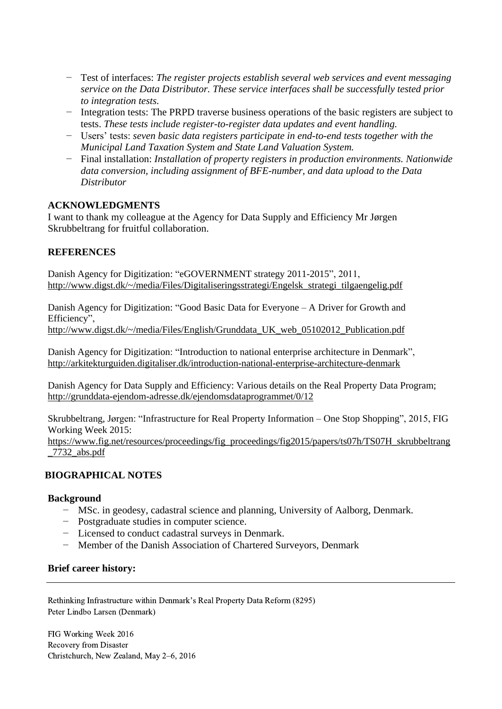- *−* Test of interfaces: *The register projects establish several web services and event messaging service on the Data Distributor. These service interfaces shall be successfully tested prior to integration tests.*
- *−* Integration tests: The PRPD traverse business operations of the basic registers are subject to tests. *These tests include register-to-register data updates and event handling.*
- *−* Users' tests: *seven basic data registers participate in end-to-end tests together with the Municipal Land Taxation System and State Land Valuation System.*
- *−* Final installation: *Installation of property registers in production environments. Nationwide data conversion, including assignment of BFE-number, and data upload to the Data Distributor*

## **ACKNOWLEDGMENTS**

I want to thank my colleague at the Agency for Data Supply and Efficiency Mr Jørgen Skrubbeltrang for fruitful collaboration.

# **REFERENCES**

Danish Agency for Digitization: "eGOVERNMENT strategy 2011-2015", 2011, [http://www.digst.dk/~/media/Files/Digitaliseringsstrategi/Engelsk\\_strategi\\_tilgaengelig.pdf](http://www.digst.dk/~/media/Files/Digitaliseringsstrategi/Engelsk_strategi_tilgaengelig.pdf)

Danish Agency for Digitization: "Good Basic Data for Everyone – A Driver for Growth and Efficiency",

[http://www.digst.dk/~/media/Files/English/Grunddata\\_UK\\_web\\_05102012\\_Publication.pdf](http://www.digst.dk/~/media/Files/English/Grunddata_UK_web_05102012_Publication.pdf)

Danish Agency for Digitization: "Introduction to national enterprise architecture in Denmark", <http://arkitekturguiden.digitaliser.dk/introduction-national-enterprise-architecture-denmark>

Danish Agency for Data Supply and Efficiency: Various details on the Real Property Data Program; <http://grunddata-ejendom-adresse.dk/ejendomsdataprogrammet/0/12>

Skrubbeltrang, Jørgen: "Infrastructure for Real Property Information – One Stop Shopping", 2015, FIG Working Week 2015:

[https://www.fig.net/resources/proceedings/fig\\_proceedings/fig2015/papers/ts07h/TS07H\\_skrubbeltrang](https://www.fig.net/resources/proceedings/fig_proceedings/fig2015/papers/ts07h/TS07H_skrubbeltrang_7732_abs.pdf) [\\_7732\\_abs.pdf](https://www.fig.net/resources/proceedings/fig_proceedings/fig2015/papers/ts07h/TS07H_skrubbeltrang_7732_abs.pdf)

# **BIOGRAPHICAL NOTES**

## **Background**

- − MSc. in geodesy, cadastral science and planning, University of Aalborg, Denmark.
- − Postgraduate studies in computer science.
- − Licensed to conduct cadastral surveys in Denmark.
- − Member of the Danish Association of Chartered Surveyors, Denmark

## **Brief career history:**

Rethinking Infrastructure within Denmark's Real Property Data Reform (8295) Peter Lindbo Larsen (Denmark)